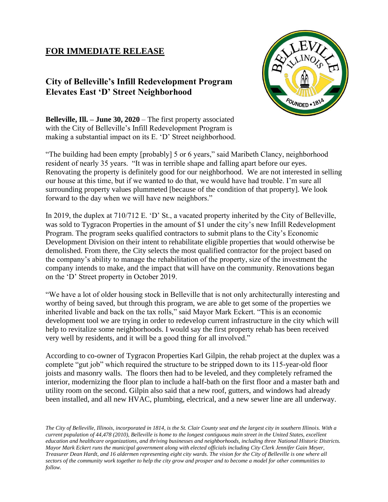## **FOR IMMEDIATE RELEASE**

## **City of Belleville's Infill Redevelopment Program Elevates East 'D' Street Neighborhood**



**Belleville, Ill. – June 30, 2020** – The first property associated with the City of Belleville's Infill Redevelopment Program is making a substantial impact on its E. 'D' Street neighborhood.

"The building had been empty [probably] 5 or 6 years," said Maribeth Clancy, neighborhood resident of nearly 35 years. "It was in terrible shape and falling apart before our eyes. Renovating the property is definitely good for our neighborhood. We are not interested in selling our house at this time, but if we wanted to do that, we would have had trouble. I'm sure all surrounding property values plummeted [because of the condition of that property]. We look forward to the day when we will have new neighbors."

In 2019, the duplex at 710/712 E. 'D' St., a vacated property inherited by the City of Belleville, was sold to Tygracon Properties in the amount of \$1 under the city's new Infill Redevelopment Program. The program seeks qualified contractors to submit plans to the City's Economic Development Division on their intent to rehabilitate eligible properties that would otherwise be demolished. From there, the City selects the most qualified contractor for the project based on the company's ability to manage the rehabilitation of the property, size of the investment the company intends to make, and the impact that will have on the community. Renovations began on the 'D' Street property in October 2019.

"We have a lot of older housing stock in Belleville that is not only architecturally interesting and worthy of being saved, but through this program, we are able to get some of the properties we inherited livable and back on the tax rolls," said Mayor Mark Eckert. "This is an economic development tool we are trying in order to redevelop current infrastructure in the city which will help to revitalize some neighborhoods. I would say the first property rehab has been received very well by residents, and it will be a good thing for all involved."

According to co-owner of Tygracon Properties Karl Gilpin, the rehab project at the duplex was a complete "gut job" which required the structure to be stripped down to its 115-year-old floor joists and masonry walls. The floors then had to be leveled, and they completely reframed the interior, modernizing the floor plan to include a half-bath on the first floor and a master bath and utility room on the second. Gilpin also said that a new roof, gutters, and windows had already been installed, and all new HVAC, plumbing, electrical, and a new sewer line are all underway.

*The City of Belleville, Illinois, incorporated in 1814, is the St. Clair County seat and the largest city in southern Illinois. With a current population of 44,478 (2010), Belleville is home to the longest contiguous main street in the United States, excellent education and healthcare organizations, and thriving businesses and neighborhoods, including three National Historic Districts. Mayor Mark Eckert runs the municipal government along with elected officials including City Clerk Jennifer Gain Meyer, Treasurer Dean Hardt, and 16 aldermen representing eight city wards. The vision for the City of Belleville is one where all sectors of the community work together to help the city grow and prosper and to become a model for other communities to follow.*